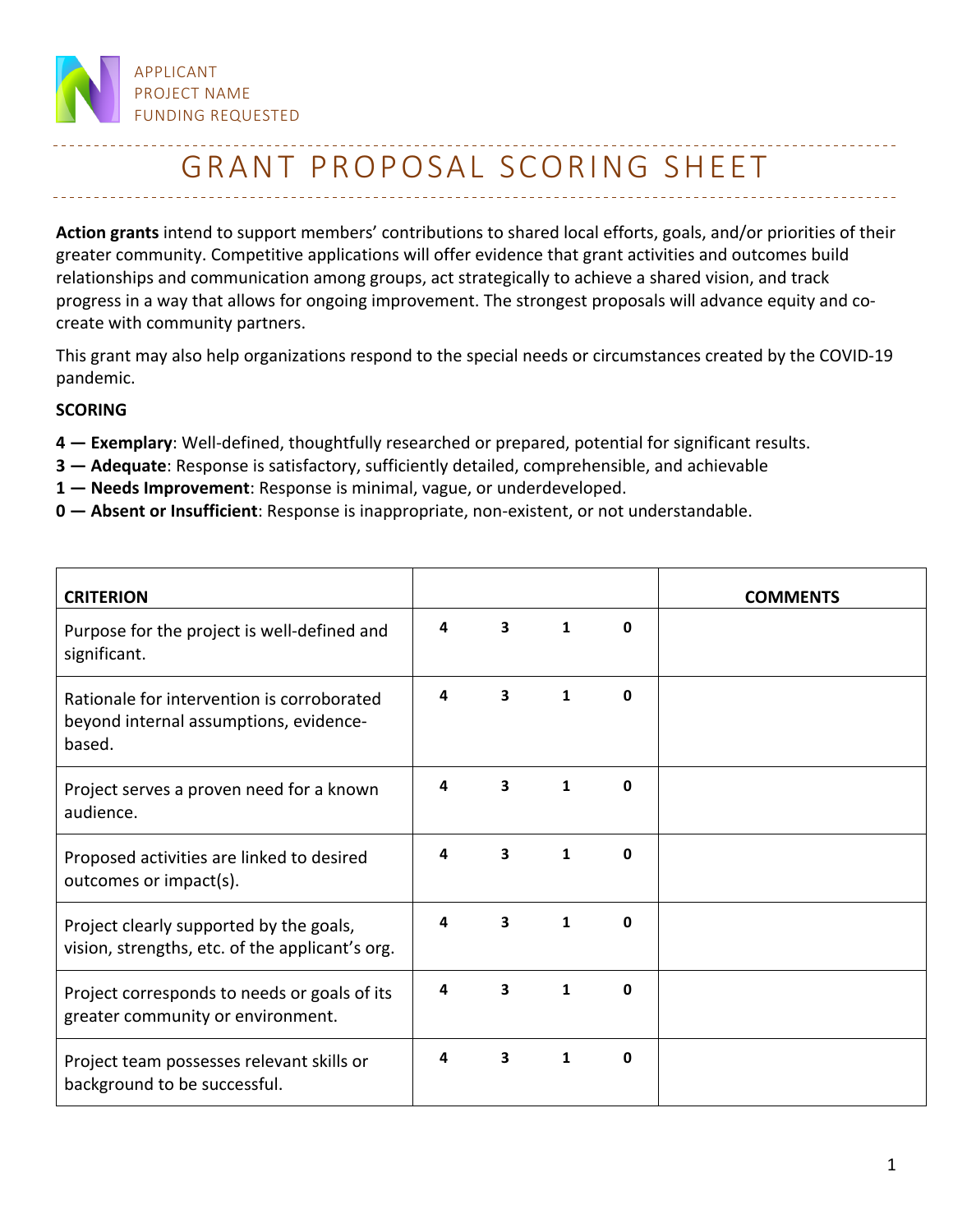

## GRANT PROPOSAL SCORING SHEET

**Action grants** intend to support members' contributions to shared local efforts, goals, and/or priorities of their greater community. Competitive applications will offer evidence that grant activities and outcomes build relationships and communication among groups, act strategically to achieve a shared vision, and track progress in a way that allows for ongoing improvement. The strongest proposals will advance equity and cocreate with community partners.

This grant may also help organizations respond to the special needs or circumstances created by the COVID-19 pandemic.

## **SCORING**

- **4 — Exemplary**: Well-defined, thoughtfully researched or prepared, potential for significant results.
- **3 — Adequate**: Response is satisfactory, sufficiently detailed, comprehensible, and achievable
- **1 — Needs Improvement**: Response is minimal, vague, or underdeveloped.
- **0 — Absent or Insufficient**: Response is inappropriate, non-existent, or not understandable.

| <b>CRITERION</b>                                                                               |   |   |   |   | <b>COMMENTS</b> |
|------------------------------------------------------------------------------------------------|---|---|---|---|-----------------|
| Purpose for the project is well-defined and<br>significant.                                    | 4 | 3 | 1 | 0 |                 |
| Rationale for intervention is corroborated<br>beyond internal assumptions, evidence-<br>based. | 4 | 3 | 1 | 0 |                 |
| Project serves a proven need for a known<br>audience.                                          | 4 | 3 | 1 | 0 |                 |
| Proposed activities are linked to desired<br>outcomes or impact(s).                            | 4 | 3 | 1 | 0 |                 |
| Project clearly supported by the goals,<br>vision, strengths, etc. of the applicant's org.     | 4 | 3 | 1 | 0 |                 |
| Project corresponds to needs or goals of its<br>greater community or environment.              | 4 | 3 | 1 | 0 |                 |
| Project team possesses relevant skills or<br>background to be successful.                      | 4 | 3 | 1 | 0 |                 |